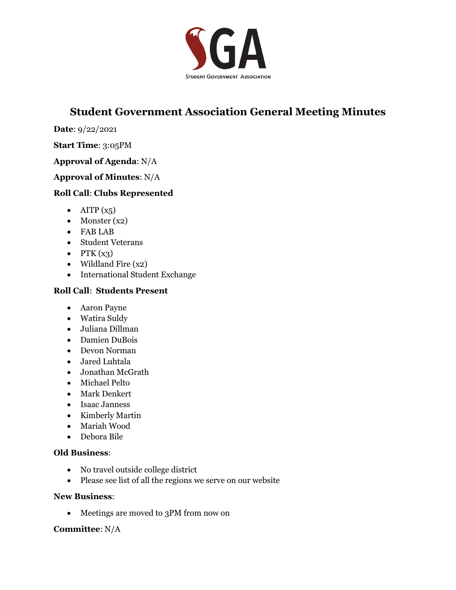

# **Student Government Association General Meeting Minutes**

**Date**: 9/22/2021

#### **Start Time**: 3:05PM

## **Approval of Agenda**: N/A

## **Approval of Minutes**: N/A

## **Roll Call**: **Clubs Represented**

- AITP  $(x_5)$
- Monster (x2)
- FAB LAB
- Student Veterans
- PTK  $(x_3)$
- Wildland Fire (x2)
- International Student Exchange

## **Roll Call**: **Students Present**

- Aaron Payne
- Watira Suldy
- Juliana Dillman
- Damien DuBois
- Devon Norman
- Jared Luhtala
- Jonathan McGrath
- Michael Pelto
- Mark Denkert
- Isaac Janness
- Kimberly Martin
- Mariah Wood
- Debora Bile

## **Old Business**:

- No travel outside college district
- Please see list of all the regions we serve on our website

#### **New Business**:

• Meetings are moved to 3PM from now on

## **Committee**: N/A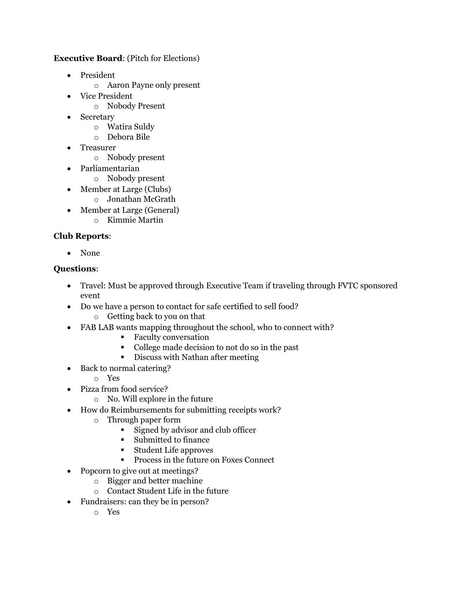## **Executive Board**: (Pitch for Elections)

- President
	- o Aaron Payne only present
- Vice President
	- o Nobody Present
- Secretary
	- o Watira Suldy
	- o Debora Bile
- Treasurer
	- o Nobody present
- Parliamentarian
	- o Nobody present
- Member at Large (Clubs)
	- o Jonathan McGrath
- Member at Large (General)
	- o Kimmie Martin

## **Club Reports**:

• None

## **Questions**:

- Travel: Must be approved through Executive Team if traveling through FVTC sponsored event
- Do we have a person to contact for safe certified to sell food? o Getting back to you on that
- FAB LAB wants mapping throughout the school, who to connect with?
	- Faculty conversation
	- College made decision to not do so in the past
	- Discuss with Nathan after meeting
- Back to normal catering?
	- o Yes
- Pizza from food service?
	- o No. Will explore in the future
- How do Reimbursements for submitting receipts work?
	- o Through paper form
		- Signed by advisor and club officer
		- Submitted to finance
		- Student Life approves
		- Process in the future on Foxes Connect
- Popcorn to give out at meetings?
	- o Bigger and better machine
	- o Contact Student Life in the future
- Fundraisers: can they be in person?
	- o Yes